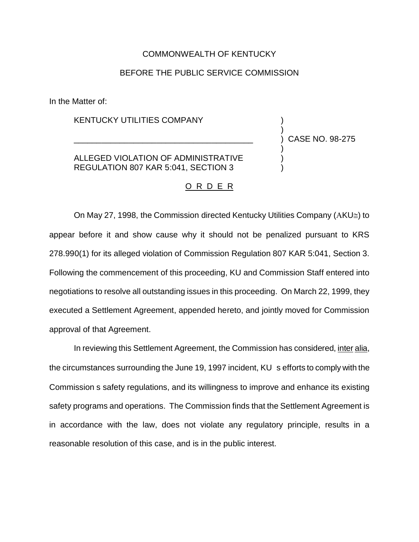## COMMONWEALTH OF KENTUCKY

## BEFORE THE PUBLIC SERVICE COMMISSION

In the Matter of:

KENTUCKY UTILITIES COMPANY

ALLEGED VIOLATION OF ADMINISTRATIVE REGULATION 807 KAR 5:041, SECTION 3

\_\_\_\_\_\_\_\_\_\_\_\_\_\_\_\_\_\_\_\_\_\_\_\_\_\_\_\_\_\_\_\_\_\_\_\_\_\_\_

) CASE NO. 98-275

) )

) ) )

## O R D E R

On May 27, 1998, the Commission directed Kentucky Utilities Company (AKU $\cong$ ) to appear before it and show cause why it should not be penalized pursuant to KRS 278.990(1) for its alleged violation of Commission Regulation 807 KAR 5:041, Section 3. Following the commencement of this proceeding, KU and Commission Staff entered into negotiations to resolve all outstanding issues in this proceeding. On March 22, 1999, they executed a Settlement Agreement, appended hereto, and jointly moved for Commission approval of that Agreement.

In reviewing this Settlement Agreement, the Commission has considered, inter alia, the circumstances surrounding the June 19, 1997 incident, KU s efforts to comply with the Commission s safety regulations, and its willingness to improve and enhance its existing safety programs and operations. The Commission finds that the Settlement Agreement is in accordance with the law, does not violate any regulatory principle, results in a reasonable resolution of this case, and is in the public interest.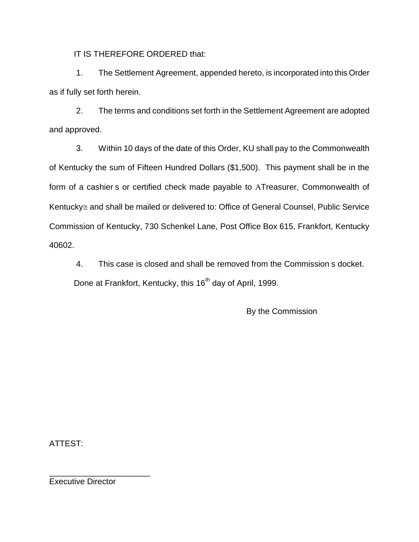IT IS THEREFORE ORDERED that:

1. The Settlement Agreement, appended hereto, is incorporated into this Order as if fully set forth herein.

2. The terms and conditions set forth in the Settlement Agreement are adopted and approved.

3. Within 10 days of the date of this Order, KU shall pay to the Commonwealth of Kentucky the sum of Fifteen Hundred Dollars (\$1,500). This payment shall be in the form of a cashier s or certified check made payable to ATreasurer, Commonwealth of Kentucky $\cong$  and shall be mailed or delivered to: Office of General Counsel, Public Service Commission of Kentucky, 730 Schenkel Lane, Post Office Box 615, Frankfort, Kentucky 40602.

4. This case is closed and shall be removed from the Commission s docket. Done at Frankfort, Kentucky, this 16<sup>th</sup> day of April, 1999.

By the Commission

ATTEST:

Executive Director

\_\_\_\_\_\_\_\_\_\_\_\_\_\_\_\_\_\_\_\_\_\_